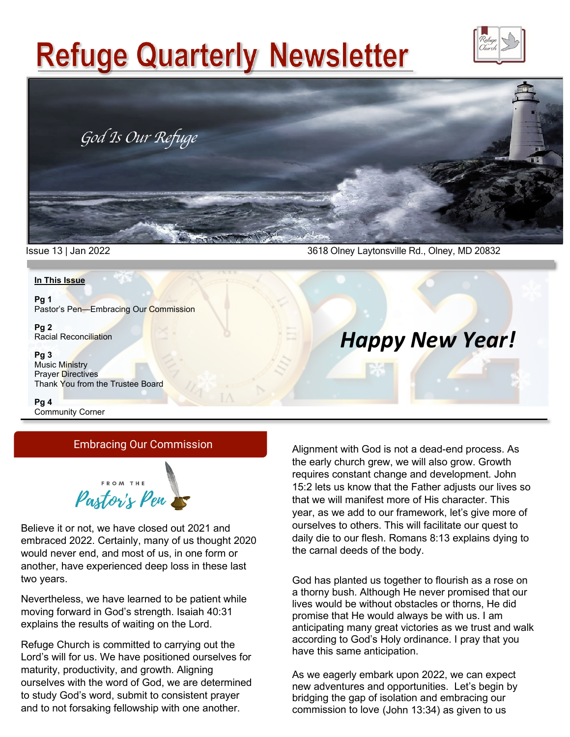# **Refuge Quarterly Newsletter**





Issue 13 | Jan 2022 3618 Olney Laytonsville Rd., Olney, MD 20832

### **In This Issue**

**Pg 1** Pastor's Pen—Embracing Our Commission

**Pg 2** Racial Reconciliation

#### **Pg 3**

Music Ministry Prayer Directives Thank You from the Trustee Board

**Pg 4** Community Corner

### Embracing Our Commission



Believe it or not, we have closed out 2021 and embraced 2022. Certainly, many of us thought 2020 would never end, and most of us, in one form or another, have experienced deep loss in these last two years.

Nevertheless, we have learned to be patient while moving forward in God's strength. Isaiah 40:31 explains the results of waiting on the Lord.

Refuge Church is committed to carrying out the Lord's will for us. We have positioned ourselves for maturity, productivity, and growth. Aligning ourselves with the word of God, we are determined to study God's word, submit to consistent prayer and to not forsaking fellowship with one another.

Alignment with God is not a dead-end process. As the early church grew, we will also grow. Growth requires constant change and development. John 15:2 lets us know that the Father adjusts our lives so that we will manifest more of His character. This year, as we add to our framework, let's give more of ourselves to others. This will facilitate our quest to daily die to our flesh. Romans 8:13 explains dying to the carnal deeds of the body.

*Happy New Year!*

God has planted us together to flourish as a rose on a thorny bush. Although He never promised that our lives would be without obstacles or thorns, He did promise that He would always be with us. I am anticipating many great victories as we trust and walk according to God's Holy ordinance. I pray that you have this same anticipation.

As we eagerly embark upon 2022, we can expect new adventures and opportunities. Let's begin by bridging the gap of isolation and embracing our commission to love (John 13:34) as given to us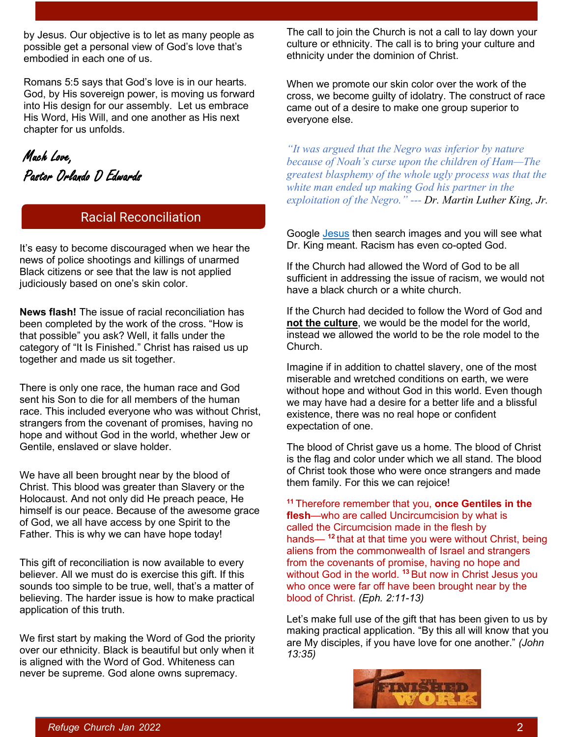by Jesus. Our objective is to let as many people as possible get a personal view of God's love that's embodied in each one of us.

Romans 5:5 says that God's love is in our hearts. God, by His sovereign power, is moving us forward into His design for our assembly. Let us embrace His Word, His Will, and one another as His next chapter for us unfolds.

Much Love, Pastor Orlando D Edwards

# Racial Reconciliation

It's easy to become discouraged when we hear the news of police shootings and killings of unarmed Black citizens or see that the law is not applied judiciously based on one's skin color.

**News flash!** The issue of racial reconciliation has been completed by the work of the cross. "How is that possible" you ask? Well, it falls under the category of "It Is Finished." Christ has raised us up together and made us sit together.

There is only one race, the human race and God sent his Son to die for all members of the human race. This included everyone who was without Christ, strangers from the covenant of promises, having no hope and without God in the world, whether Jew or Gentile, enslaved or slave holder.

We have all been brought near by the blood of Christ. This blood was greater than Slavery or the Holocaust. And not only did He preach peace, He himself is our peace. Because of the awesome grace of God, we all have access by one Spirit to the Father. This is why we can have hope today!

This gift of reconciliation is now available to every believer. All we must do is exercise this gift. If this sounds too simple to be true, well, that's a matter of believing. The harder issue is how to make practical application of this truth.

We first start by making the Word of God the priority over our ethnicity. Black is beautiful but only when it is aligned with the Word of God. Whiteness can never be supreme. God alone owns supremacy.

The call to join the Church is not a call to lay down your culture or ethnicity. The call is to bring your culture and ethnicity under the dominion of Christ.

When we promote our skin color over the work of the cross, we become guilty of idolatry. The construct of race came out of a desire to make one group superior to everyone else.

*"It was argued that the Negro was inferior by nature because of Noah's curse upon the children of Ham—The greatest blasphemy of the whole ugly process was that the white man ended up making God his partner in the exploitation of the Negro." --- Dr. Martin Luther King, Jr.*

Google **Jesus** then search images and you will see what Dr. King meant. Racism has even co-opted God.

If the Church had allowed the Word of God to be all sufficient in addressing the issue of racism, we would not have a black church or a white church.

If the Church had decided to follow the Word of God and **not the culture**, we would be the model for the world, instead we allowed the world to be the role model to the Church.

Imagine if in addition to chattel slavery, one of the most miserable and wretched conditions on earth, we were without hope and without God in this world. Even though we may have had a desire for a better life and a blissful existence, there was no real hope or confident expectation of one.

The blood of Christ gave us a home. The blood of Christ is the flag and color under which we all stand. The blood of Christ took those who were once strangers and made them family. For this we can rejoice!

**<sup>11</sup>** Therefore remember that you, **once Gentiles in the flesh**—who are called Uncircumcision by what is called the Circumcision made in the flesh by hands— **<sup>12</sup>** that at that time you were without Christ, being aliens from the commonwealth of Israel and strangers from the covenants of promise, having no hope and without God in the world. **<sup>13</sup>** But now in Christ Jesus you who once were far off have been brought near by the blood of Christ. *(Eph. 2:11-13)*

Let's make full use of the gift that has been given to us by making practical application. "By this all will know that you are My disciples, if you have love for one another." *(John 13:35)*

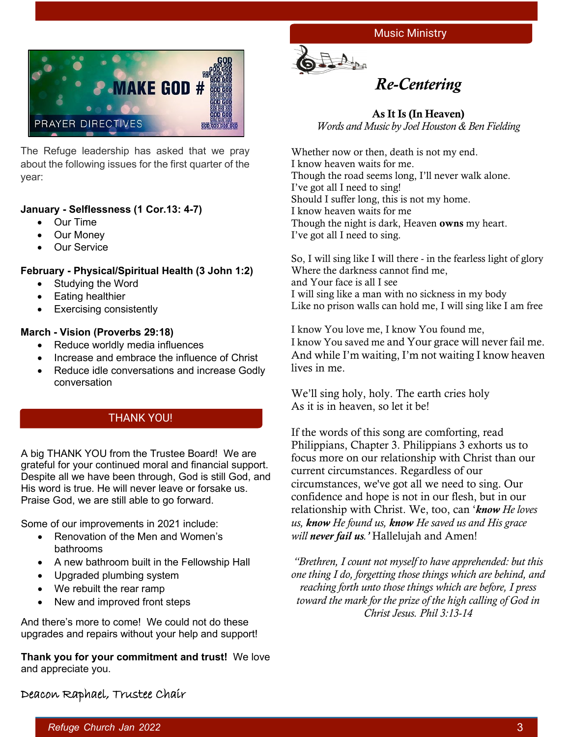



The Refuge leadership has asked that we pray about the following issues for the first quarter of the year:

### **January - Selflessness (1 Cor.13: 4-7)**

- Our Time
- Our Money
- Our Service

### **February - Physical/Spiritual Health (3 John 1:2)**

- Studying the Word
- Eating healthier
- Exercising consistently

### **March - Vision (Proverbs 29:18)**

- Reduce worldly media influences
- Increase and embrace the influence of Christ
- Reduce idle conversations and increase Godly conversation

### THANK YOU!

A big THANK YOU from the Trustee Board! We are grateful for your continued moral and financial support. Despite all we have been through, God is still God, and His word is true. He will never leave or forsake us. Praise God, we are still able to go forward.

Some of our improvements in 2021 include:

- Renovation of the Men and Women's bathrooms
- A new bathroom built in the Fellowship Hall
- Upgraded plumbing system
- We rebuilt the rear ramp
- New and improved front steps

And there's more to come! We could not do these upgrades and repairs without your help and support!

**Thank you for your commitment and trust!** We love and appreciate you.



# *Re-Centering*

### As It Is (In Heaven) *Words and Music by Joel Houston & Ben Fielding*

Whether now or then, death is not my end. I know heaven waits for me. Though the road seems long, I'll never walk alone. I've got all I need to sing! Should I suffer long, this is not my home. I know heaven waits for me Though the night is dark, Heaven **owns** my heart. I've got all I need to sing.

So, I will sing like I will there - in the fearless light of glory Where the darkness cannot find me, and Your face is all I see I will sing like a man with no sickness in my body Like no prison walls can hold me, I will sing like I am free

I know You love me, I know You found me, I know You saved me and Your grace will never fail me. And while I'm waiting, I'm not waiting I know heaven lives in me.

We'll sing holy, holy. The earth cries holy As it is in heaven, so let it be!

If the words of this song are comforting, read Philippians, Chapter 3. Philippians 3 exhorts us to focus more on our relationship with Christ than our current circumstances. Regardless of our circumstances, we've got all we need to sing. Our confidence and hope is not in our flesh, but in our relationship with Christ. We, too, can '*know He loves us, know He found us, know He saved us and His grace will never fail us.'* Hallelujah and Amen!

*"Brethren, I count not myself to have apprehended: but this one thing I do, forgetting those things which are behind, and reaching forth unto those things which are before, I press toward the mark for the prize of the high calling of God in Christ Jesus. Phil 3:13-14*

## Deacon Raphael, Trustee Chair